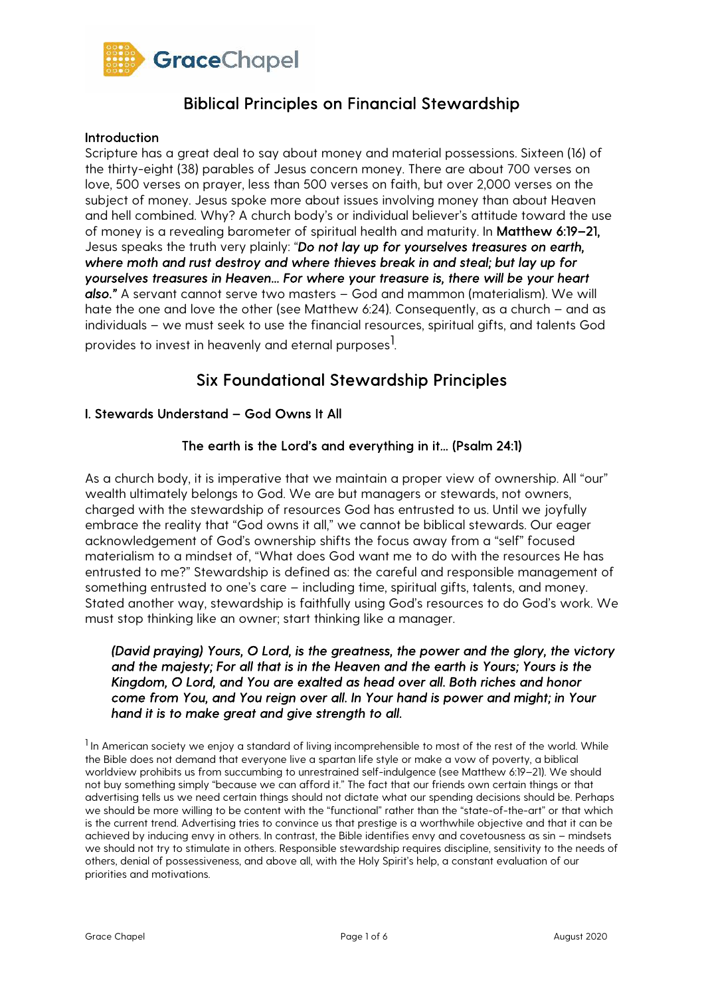

#### Introduction

Scripture has a great deal to say about money and material possessions. Sixteen (16) of the thirty-eight (38) parables of Jesus concern money. There are about 700 verses on love, 500 verses on prayer, less than 500 verses on faith, but over 2,000 verses on the subject of money. Jesus spoke more about issues involving money than about Heaven and hell combined. Why? A church body's or individual believer's attitude toward the use of money is a revealing barometer of spiritual health and maturity. In Matthew 6:19–21, Jesus speaks the truth very plainly: "*Do not lay up for yourselves treasures on earth, where moth and rust destroy and where thieves break in and steal; but lay up for yourselves treasures in Heaven... For where your treasure is, there will be your heart also."* A servant cannot serve two masters – God and mammon (materialism). We will hate the one and love the other (see Matthew 6:24). Consequently, as a church – and as individuals – we must seek to use the financial resources, spiritual gifts, and talents God provides to invest in heavenly and eternal purposes $^{\rm l}$ .

## Six Foundational Stewardship Principles

### I. Stewards Understand – God Owns It All

### The earth is the Lord's and everything in it... (Psalm 24:1)

As a church body, it is imperative that we maintain a proper view of ownership. All "our" wealth ultimately belongs to God. We are but managers or stewards, not owners, charged with the stewardship of resources God has entrusted to us. Until we joyfully embrace the reality that "God owns it all," we cannot be biblical stewards. Our eager acknowledgement of God's ownership shifts the focus away from a "self" focused materialism to a mindset of, "What does God want me to do with the resources He has entrusted to me?" Stewardship is defined as: the careful and responsible management of something entrusted to one's care – including time, spiritual gifts, talents, and money. Stated another way, stewardship is faithfully using God's resources to do God's work. We must stop thinking like an owner; start thinking like a manager.

*(David praying) Yours, O Lord, is the greatness, the power and the glory, the victory and the majesty; For all that is in the Heaven and the earth is Yours; Yours is the Kingdom, O Lord, and You are exalted as head over all. Both riches and honor come from You, and You reign over all. In Your hand is power and might; in Your hand it is to make great and give strength to all.* 

<sup>1</sup> In American society we enjoy a standard of living incomprehensible to most of the rest of the world. While the Bible does not demand that everyone live a spartan life style or make a vow of poverty, a biblical worldview prohibits us from succumbing to unrestrained self-indulgence (see Matthew 6:19–21). We should not buy something simply "because we can afford it." The fact that our friends own certain things or that advertising tells us we need certain things should not dictate what our spending decisions should be. Perhaps we should be more willing to be content with the "functional" rather than the "state-of-the-art" or that which is the current trend. Advertising tries to convince us that prestige is a worthwhile objective and that it can be achieved by inducing envy in others. In contrast, the Bible identifies envy and covetousness as sin – mindsets we should not try to stimulate in others. Responsible stewardship requires discipline, sensitivity to the needs of others, denial of possessiveness, and above all, with the Holy Spirit's help, a constant evaluation of our priorities and motivations.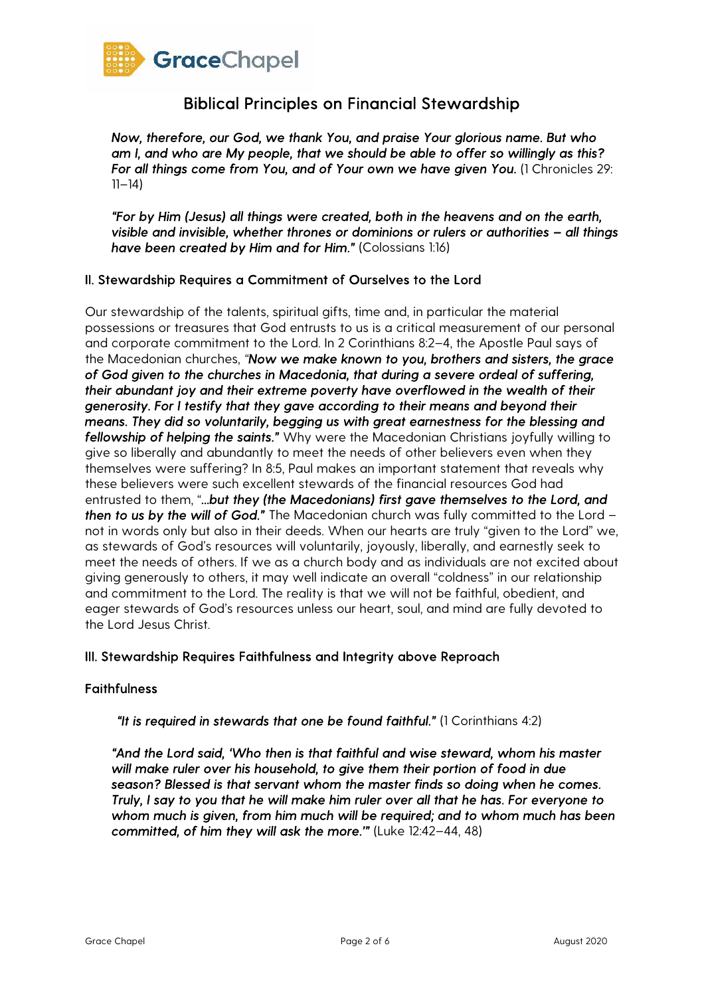

*Now, therefore, our God, we thank You, and praise Your glorious name. But who am I, and who are My people, that we should be able to offer so willingly as this? For all things come from You, and of Your own we have given You.* (1 Chronicles 29:  $11 - 14$ )

*"For by Him (Jesus) all things were created, both in the heavens and on the earth, visible and invisible, whether thrones or dominions or rulers or authorities – all things have been created by Him and for Him."* (Colossians 1:16)

### II. Stewardship Requires a Commitment of Ourselves to the Lord

Our stewardship of the talents, spiritual gifts, time and, in particular the material possessions or treasures that God entrusts to us is a critical measurement of our personal and corporate commitment to the Lord. In 2 Corinthians 8:2–4, the Apostle Paul says of the Macedonian churches, *"Now we make known to you, brothers and sisters, the grace of God given to the churches in Macedonia, that during a severe ordeal of suffering, their abundant joy and their extreme poverty have overflowed in the wealth of their generosity. For I testify that they gave according to their means and beyond their means. They did so voluntarily, begging us with great earnestness for the blessing and fellowship of helping the saints."* Why were the Macedonian Christians joyfully willing to give so liberally and abundantly to meet the needs of other believers even when they themselves were suffering? In 8:5, Paul makes an important statement that reveals why these believers were such excellent stewards of the financial resources God had entrusted to them, "*...but they (the Macedonians) first gave themselves to the Lord, and then to us by the will of God."* The Macedonian church was fully committed to the Lord – not in words only but also in their deeds. When our hearts are truly "given to the Lord" we, as stewards of God's resources will voluntarily, joyously, liberally, and earnestly seek to meet the needs of others. If we as a church body and as individuals are not excited about giving generously to others, it may well indicate an overall "coldness" in our relationship and commitment to the Lord. The reality is that we will not be faithful, obedient, and eager stewards of God's resources unless our heart, soul, and mind are fully devoted to the Lord Jesus Christ.

### III. Stewardship Requires Faithfulness and Integrity above Reproach

### **Faithfulness**

*"It is required in stewards that one be found faithful."* (1 Corinthians 4:2)

*"And the Lord said, 'Who then is that faithful and wise steward, whom his master will make ruler over his household, to give them their portion of food in due season? Blessed is that servant whom the master finds so doing when he comes. Truly, I say to you that he will make him ruler over all that he has. For everyone to whom much is given, from him much will be required; and to whom much has been committed, of him they will ask the more.'"* (Luke 12:42–44, 48)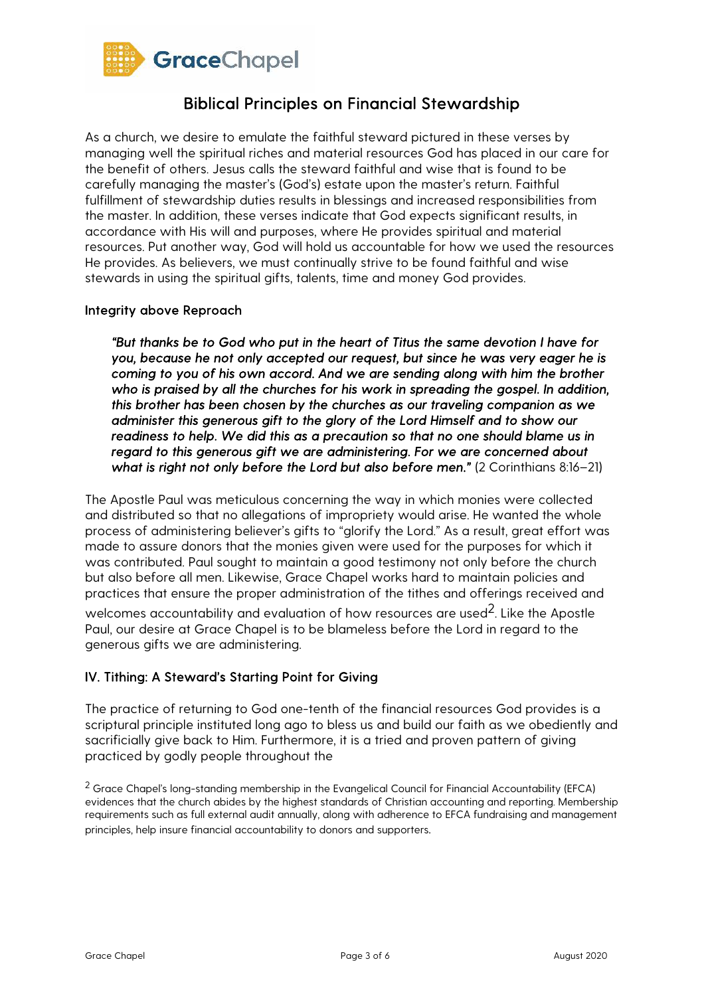

As a church, we desire to emulate the faithful steward pictured in these verses by managing well the spiritual riches and material resources God has placed in our care for the benefit of others. Jesus calls the steward faithful and wise that is found to be carefully managing the master's (God's) estate upon the master's return. Faithful fulfillment of stewardship duties results in blessings and increased responsibilities from the master. In addition, these verses indicate that God expects significant results, in accordance with His will and purposes, where He provides spiritual and material resources. Put another way, God will hold us accountable for how we used the resources He provides. As believers, we must continually strive to be found faithful and wise stewards in using the spiritual gifts, talents, time and money God provides.

### Integrity above Reproach

*"But thanks be to God who put in the heart of Titus the same devotion I have for you, because he not only accepted our request, but since he was very eager he is coming to you of his own accord. And we are sending along with him the brother who is praised by all the churches for his work in spreading the gospel. In addition, this brother has been chosen by the churches as our traveling companion as we administer this generous gift to the glory of the Lord Himself and to show our readiness to help. We did this as a precaution so that no one should blame us in regard to this generous gift we are administering. For we are concerned about what is right not only before the Lord but also before men."* (2 Corinthians 8:16–21)

The Apostle Paul was meticulous concerning the way in which monies were collected and distributed so that no allegations of impropriety would arise. He wanted the whole process of administering believer's gifts to "glorify the Lord." As a result, great effort was made to assure donors that the monies given were used for the purposes for which it was contributed. Paul sought to maintain a good testimony not only before the church but also before all men. Likewise, Grace Chapel works hard to maintain policies and practices that ensure the proper administration of the tithes and offerings received and

welcomes accountability and evaluation of how resources are used<sup>2</sup>. Like the Apostle Paul, our desire at Grace Chapel is to be blameless before the Lord in regard to the generous gifts we are administering.

### IV. Tithing: A Steward's Starting Point for Giving

The practice of returning to God one-tenth of the financial resources God provides is a scriptural principle instituted long ago to bless us and build our faith as we obediently and sacrificially give back to Him. Furthermore, it is a tried and proven pattern of giving practiced by godly people throughout the

<sup>2</sup> Grace Chapel's long-standing membership in the Evangelical Council for Financial Accountability (EFCA) evidences that the church abides by the highest standards of Christian accounting and reporting. Membership requirements such as full external audit annually, along with adherence to EFCA fundraising and management principles, help insure financial accountability to donors and supporters.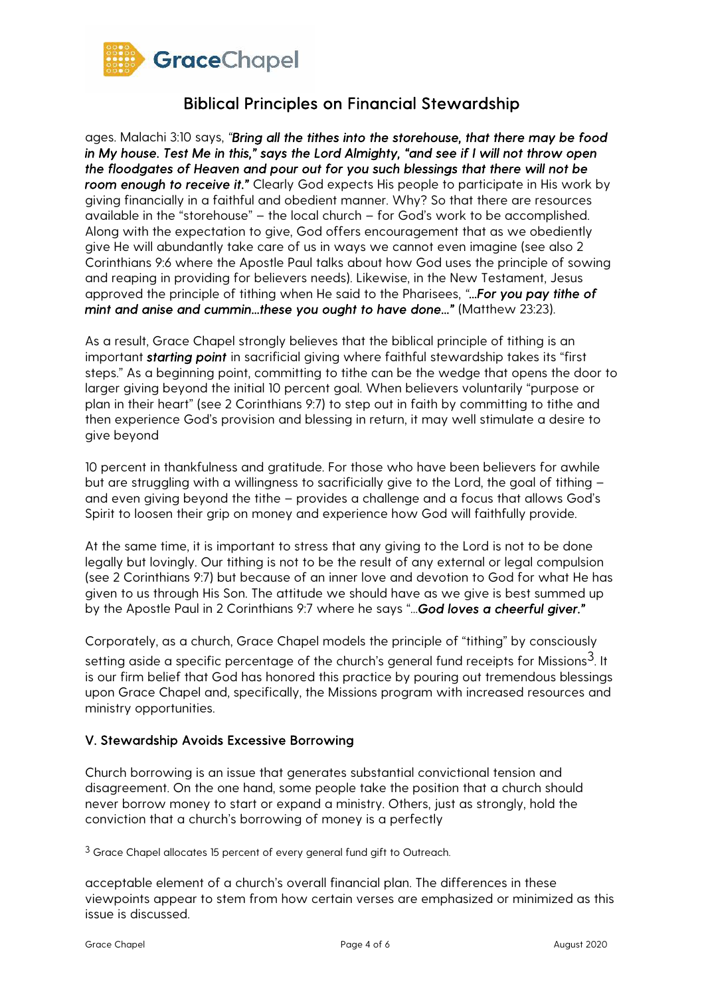

ages. Malachi 3:10 says, *"Bring all the tithes into the storehouse, that there may be food in My house. Test Me in this," says the Lord Almighty, "and see if I will not throw open the floodgates of Heaven and pour out for you such blessings that there will not be room enough to receive it."* Clearly God expects His people to participate in His work by giving financially in a faithful and obedient manner. Why? So that there are resources available in the "storehouse" – the local church – for God's work to be accomplished. Along with the expectation to give, God offers encouragement that as we obediently give He will abundantly take care of us in ways we cannot even imagine (see also 2 Corinthians 9:6 where the Apostle Paul talks about how God uses the principle of sowing and reaping in providing for believers needs). Likewise, in the New Testament, Jesus approved the principle of tithing when He said to the Pharisees, *"...For you pay tithe of mint and anise and cummin...these you ought to have done..."* (Matthew 23:23).

As a result, Grace Chapel strongly believes that the biblical principle of tithing is an important *starting point* in sacrificial giving where faithful stewardship takes its "first steps." As a beginning point, committing to tithe can be the wedge that opens the door to larger giving beyond the initial 10 percent goal. When believers voluntarily "purpose or plan in their heart" (see 2 Corinthians 9:7) to step out in faith by committing to tithe and then experience God's provision and blessing in return, it may well stimulate a desire to give beyond

10 percent in thankfulness and gratitude. For those who have been believers for awhile but are struggling with a willingness to sacrificially give to the Lord, the goal of tithing – and even giving beyond the tithe – provides a challenge and a focus that allows God's Spirit to loosen their grip on money and experience how God will faithfully provide.

At the same time, it is important to stress that any giving to the Lord is not to be done legally but lovingly. Our tithing is not to be the result of any external or legal compulsion (see 2 Corinthians 9:7) but because of an inner love and devotion to God for what He has given to us through His Son. The attitude we should have as we give is best summed up by the Apostle Paul in 2 Corinthians 9:7 where he says "*...God loves a cheerful giver."* 

Corporately, as a church, Grace Chapel models the principle of "tithing" by consciously

setting aside a specific percentage of the church's general fund receipts for Missions $3$ . It is our firm belief that God has honored this practice by pouring out tremendous blessings upon Grace Chapel and, specifically, the Missions program with increased resources and ministry opportunities.

### V. Stewardship Avoids Excessive Borrowing

Church borrowing is an issue that generates substantial convictional tension and disagreement. On the one hand, some people take the position that a church should never borrow money to start or expand a ministry. Others, just as strongly, hold the conviction that a church's borrowing of money is a perfectly

<sup>3</sup> Grace Chapel allocates 15 percent of every general fund gift to Outreach.

acceptable element of a church's overall financial plan. The differences in these viewpoints appear to stem from how certain verses are emphasized or minimized as this issue is discussed.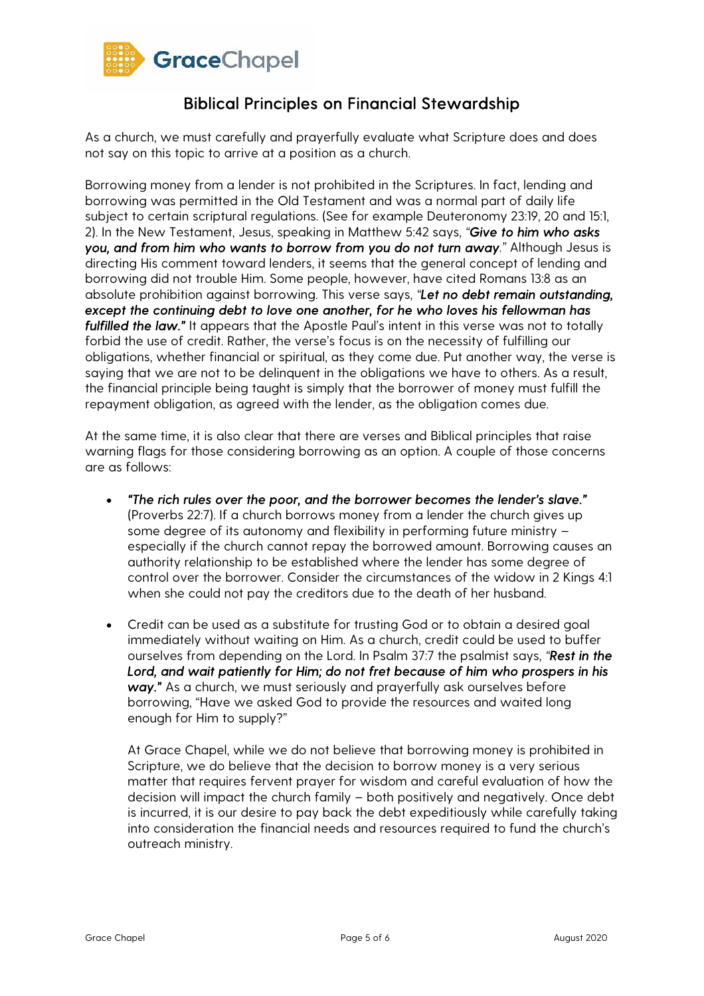

As a church, we must carefully and prayerfully evaluate what Scripture does and does not say on this topic to arrive at a position as a church.

Borrowing money from a lender is not prohibited in the Scriptures. In fact, lending and borrowing was permitted in the Old Testament and was a normal part of daily life subject to certain scriptural regulations. (See for example Deuteronomy 23:19, 20 and 15:1, 2). In the New Testament, Jesus, speaking in Matthew 5:42 says, *"Give to him who asks you, and from him who wants to borrow from you do not turn away."* Although Jesus is directing His comment toward lenders, it seems that the general concept of lending and borrowing did not trouble Him. Some people, however, have cited Romans 13:8 as an absolute prohibition against borrowing. This verse says, *"Let no debt remain outstanding, except the continuing debt to love one another, for he who loves his fellowman has fulfilled the law."* It appears that the Apostle Paul's intent in this verse was not to totally forbid the use of credit. Rather, the verse's focus is on the necessity of fulfilling our obligations, whether financial or spiritual, as they come due. Put another way, the verse is saying that we are not to be delinquent in the obligations we have to others. As a result, the financial principle being taught is simply that the borrower of money must fulfill the repayment obligation, as agreed with the lender, as the obligation comes due.

At the same time, it is also clear that there are verses and Biblical principles that raise warning flags for those considering borrowing as an option. A couple of those concerns are as follows:

- *"The rich rules over the poor, and the borrower becomes the lender's slave."*  (Proverbs 22:7). If a church borrows money from a lender the church gives up some degree of its autonomy and flexibility in performing future ministry – especially if the church cannot repay the borrowed amount. Borrowing causes an authority relationship to be established where the lender has some degree of control over the borrower. Consider the circumstances of the widow in 2 Kings 4:1 when she could not pay the creditors due to the death of her husband.
- Credit can be used as a substitute for trusting God or to obtain a desired goal immediately without waiting on Him. As a church, credit could be used to buffer ourselves from depending on the Lord. In Psalm 37:7 the psalmist says, *"Rest in the Lord, and wait patiently for Him; do not fret because of him who prospers in his way."* As a church, we must seriously and prayerfully ask ourselves before borrowing, "Have we asked God to provide the resources and waited long enough for Him to supply?"

At Grace Chapel, while we do not believe that borrowing money is prohibited in Scripture, we do believe that the decision to borrow money is a very serious matter that requires fervent prayer for wisdom and careful evaluation of how the decision will impact the church family – both positively and negatively. Once debt is incurred, it is our desire to pay back the debt expeditiously while carefully taking into consideration the financial needs and resources required to fund the church's outreach ministry.